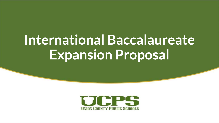# **International Baccalaureate Expansion Proposal**

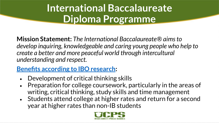## **International Baccalaureate Diploma Programme**

**Mission Statement:** *The International Baccalaureate® aims to develop inquiring, knowledgeable and caring young people who help to create a better and more peaceful world through intercultural understanding and respect.*

### **[Benefits according to IBO research:](https://www.ibo.org/globalassets/publications/ib-research/key-findings-from-research-on-the-impact-of-the-dp-en.pdf)**

- Development of critical thinking skills
- Preparation for college coursework, particularly in the areas of writing, critical thinking, study skills and time management
- Students attend college at higher rates and return for a second year at higher rates than non-IB students

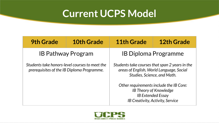### **Current UCPS Model**

| <b>9th Grade</b>                                                                             | <b>10th Grade</b> | 11th Grade                                                                                                                               | <b>12th Grade</b> |
|----------------------------------------------------------------------------------------------|-------------------|------------------------------------------------------------------------------------------------------------------------------------------|-------------------|
| <b>IB Pathway Program</b>                                                                    |                   | <b>IB Diploma Programme</b>                                                                                                              |                   |
| Students take honors-level courses to meet the<br>prerequisites of the IB Diploma Programme. |                   | Students take courses that span 2 years in the<br>areas of English, World Language, Social<br>Studies, Science, and Math.                |                   |
|                                                                                              |                   | Other requirements include the IB Core:<br><b>IB Theory of Knowledge</b><br><b>IB Extended Essay</b><br>IB Creativity, Activity, Service |                   |

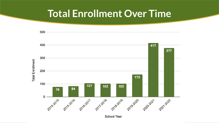### **Total Enrollment Over Time**



School Year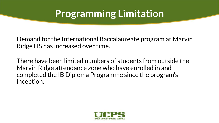### **Programming Limitation**

Demand for the International Baccalaureate program at Marvin Ridge HS has increased over time.

There have been limited numbers of students from outside the Marvin Ridge attendance zone who have enrolled in and completed the IB Diploma Programme since the program's inception.

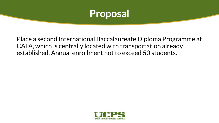

Place a second International Baccalaureate Diploma Programme at CATA, which is centrally located with transportation already established. Annual enrollment not to exceed 50 students.

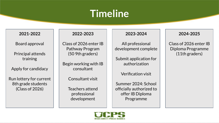### **Timeline**

#### **2021-2022**

Board approval

Principal attends training

Apply for candidacy

Run lottery for current 8th grade students (Class of 2026)

#### **2022-2023**

Class of 2026 enter IB Pathway Program (50 9th graders)

Begin working with IB consultant

Consultant visit

Teachers attend professional development

#### **2023-2024**

All professional development complete

Submit application for authorization

Verification visit

Summer 2024: School officially authorized to offer IB Diploma Programme

#### **2024-2025**

Class of 2026 enter IB Diploma Programme (11th graders)

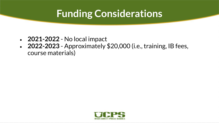### **Funding Considerations**

- **2021-2022** No local impact
- **2022-2023** Approximately \$20,000 (i.e., training, IB fees, course materials)

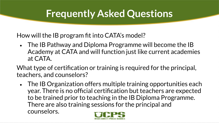How will the IB program fit into CATA's model?

• The IB Pathway and Diploma Programme will become the IB Academy at CATA and will function just like current academies at CATA.

What type of certification or training is required for the principal, teachers, and counselors?

• The IB Organization offers multiple training opportunities each year. There is no official certification but teachers are expected to be trained prior to teaching in the IB Diploma Programme. There are also training sessions for the principal and counselors.

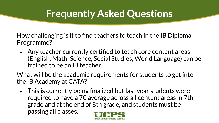How challenging is it to find teachers to teach in the IB Diploma Programme?

• Any teacher currently certified to teach core content areas (English, Math, Science, Social Studies, World Language) can be trained to be an IB teacher.

What will be the academic requirements for students to get into the IB Academy at CATA?

• This is currently being finalized but last year students were required to have a 70 average across all content areas in 7th grade and at the end of 8th grade, and students must be passing all classes.

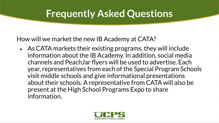How will we market the new IB Academy at CATA?

• As CATA markets their existing programs, they will include information about the IB Academy. In addition, social media channels and PeachJar flyers will be used to advertise. Each year, representatives from each of the Special Program Schools visit middle schools and give informational presentations about their schools. A representative from CATA will also be present at the High School Programs Expo to share information.

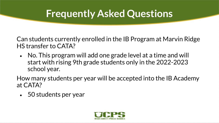Can students currently enrolled in the IB Program at Marvin Ridge HS transfer to CATA?

• No. This program will add one grade level at a time and will start with rising 9th grade students only in the 2022-2023 school year.

How many students per year will be accepted into the IB Academy at CATA?

• 50 students per year

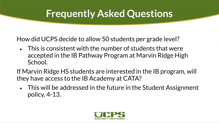How did UCPS decide to allow 50 students per grade level?

- This is consistent with the number of students that were accepted in the IB Pathway Program at Marvin Ridge High School.
- If Marvin Ridge HS students are interested in the IB program, will they have access to the IB Academy at CATA?
	- This will be addressed in the future in the Student Assignment policy, 4-13.